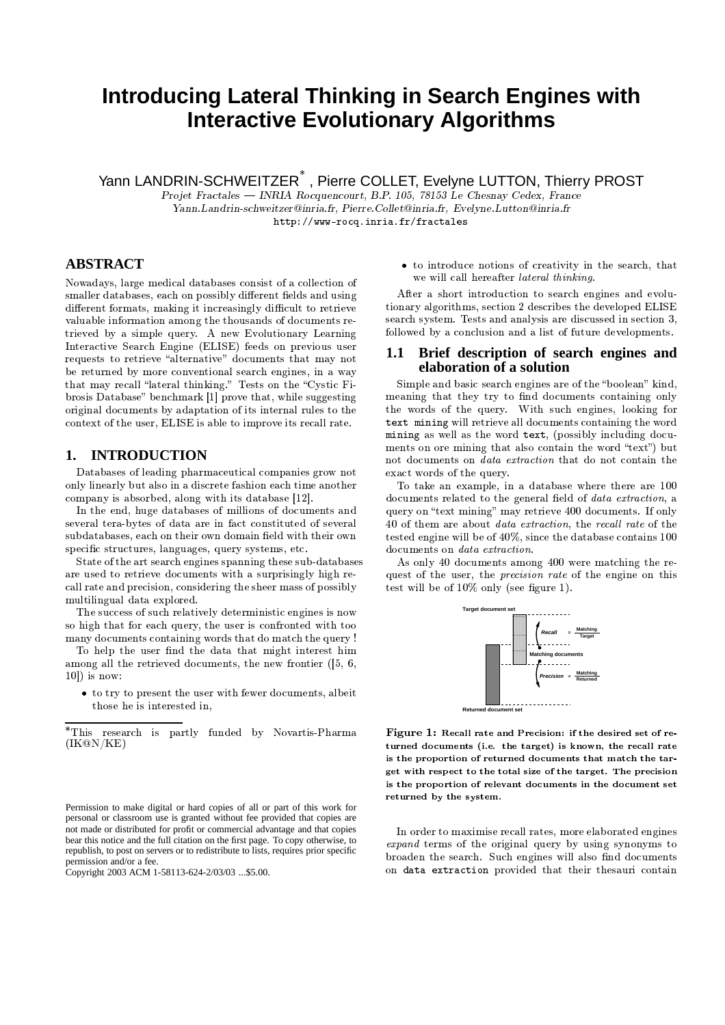# Introducing Lateral Thinking in Search Engines with **Interactive Evolutionary Algorithms**

Yann LANDRIN-SCHWEITZER<sup>\*</sup>, Pierre COLLET, Evelyne LUTTON, Thierry PROST

Projet Fractales — INRIA Rocquencourt, B.P. 105, 78153 Le Chesnay Cedex, France Yann Landrin-schweitzer @inria.fr, Pierre.Collet@inria.fr, Evelyne.Lutton@inria.fr http://www-rocq.inria.fr/fractales

# **ABSTRACT**

Nowadays, large medical databases consist of a collection of smaller databases, each on possibly different fields and using different formats, making it increasingly difficult to retrieve valuable information among the thousands of documents retrieved by a simple query. A new Evolutionary Learning Interactive Search Engine (ELISE) feeds on previous user requests to retrieve "alternative" documents that may not be returned by more conventional search engines, in a way that may recall "lateral thinking." Tests on the "Cystic Fibrosis Database" benchmark [1] prove that, while suggesting original documents by adaptation of its internal rules to the context of the user, ELISE is able to improve its recall rate.

#### 1. **INTRODUCTION**

Databases of leading pharmaceutical companies grow not only linearly but also in a discrete fashion each time another company is absorbed, along with its database [12].

In the end, huge databases of millions of documents and several tera-bytes of data are in fact constituted of several subdatabases, each on their own domain field with their own specific structures, languages, query systems, etc.

State of the art search engines spanning these sub-databases are used to retrieve documents with a surprisingly high recall rate and precision, considering the sheer mass of possibly multilingual data explored.

The success of such relatively deterministic engines is now so high that for each query, the user is confronted with too many documents containing words that do match the query !

To help the user find the data that might interest him among all the retrieved documents, the new frontier  $(5, 6, 6)$  $10$ ) is now:

• to try to present the user with fewer documents, albeit those he is interested in,

 $^*$  This research is partly funded by Novartis-Pharma  $\rm (IK@N/KE)$ 

• to introduce notions of creativity in the search, that we will call hereafter *lateral thinking*.

After a short introduction to search engines and evolutionary algorithms, section 2 describes the developed ELISE search system. Tests and analysis are discussed in section 3. followed by a conclusion and a list of future developments.

### Brief description of search engines and 1.1 elaboration of a solution

Simple and basic search engines are of the "boolean" kind. meaning that they try to find documents containing only the words of the query. With such engines, looking for text mining will retrieve all documents containing the word mining as well as the word text, (possibly including documents on ore mining that also contain the word "text") but not documents on *data extraction* that do not contain the exact words of the query.

To take an example, in a database where there are 100 documents related to the general field of *data extraction*, a query on "text mining" may retrieve 400 documents. If only 40 of them are about *data extraction*, the recall rate of the tested engine will be of  $40\%$ , since the database contains  $100$ documents on data extraction.

As only 40 documents among 400 were matching the request of the user, the *precision rate* of the engine on this test will be of  $10\%$  only (see figure 1).



Figure 1: Recall rate and Precision: if the desired set of returned documents (i.e. the target) is known, the recall rate is the proportion of returned documents that match the target with respect to the total size of the target. The precision is the proportion of relevant documents in the document set returned by the system.

In order to maximise recall rates, more elaborated engines expand terms of the original query by using synonyms to broaden the search. Such engines will also find documents on data extraction provided that their thesauri contain

Permission to make digital or hard copies of all or part of this work for personal or classroom use is granted without fee provided that copies are not made or distributed for profit or commercial advantage and that copies bear this notice and the full citation on the first page. To copy otherwise, to republish, to post on servers or to redistribute to lists, requires prior specific permission and/or a fee.

Copyright 2003 ACM 1-58113-624-2/03/03 ... \$5.00.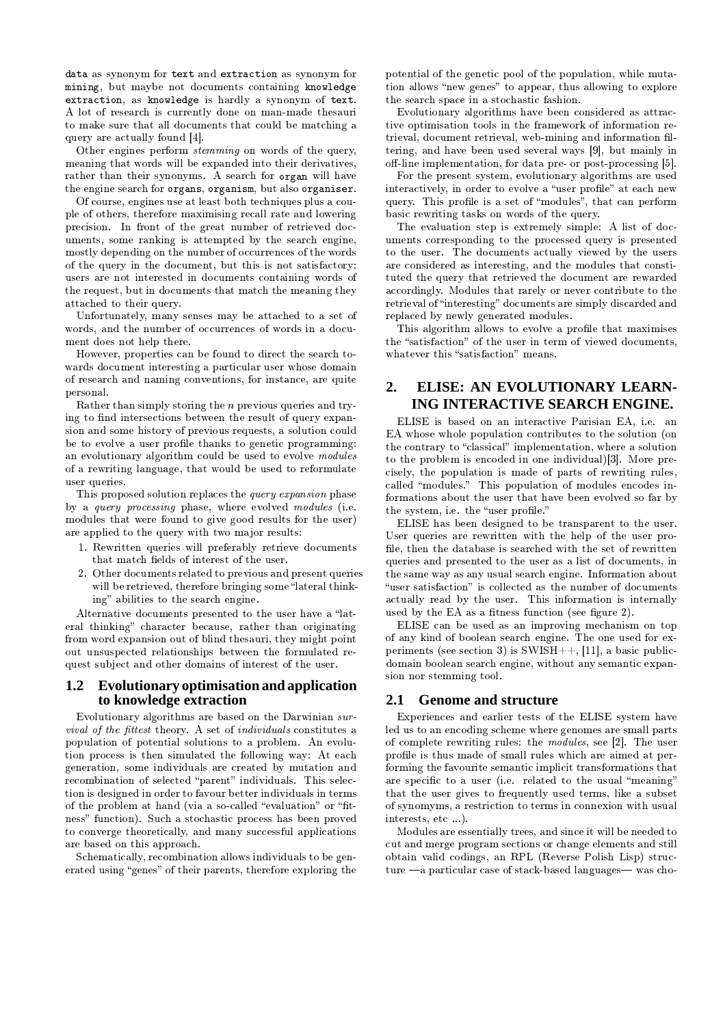data as synonym for text and extraction as synonym for mining, but maybe not documents containing knowledge extraction, as knowledge is hardly a synonym of text. A lot of research is currently done on man-made thesauri to make sure that all documents that could be matching a query are actually found [4].

Other engines perform stemming on words of the query, meaning that words will be expanded into their derivatives, rather than their synonyms. A search for organ will have the engine search for organs, organism, but also organiser.

Of course, engines use at least both techniques plus a couple of others, therefore maximising recall rate and lowering precision. In front of the great number of retrieved documents, some ranking is attempted by the search engine, mostly depending on the number of occurrences of the words of the query in the document, but this is not satisfactory: users are not interested in documents containing words of the request, but in documents that match the meaning they attached to their query.

Unfortunately, many senses may be attached to a set of words, and the number of occurrences of words in a document does not help there.

However, properties can be found to direct the search towards document interesting a particular user whose domain of research and naming conventions, for instance, are quite personal.

Rather than simply storing the  $n$  previous queries and trying to find intersections between the result of query expansion and some history of previous requests, a solution could be to evolve a user profile thanks to genetic programming: an evolutionary algorithm could be used to evolve modules of a rewriting language, that would be used to reformulate user queries

This proposed solution replaces the *guery expansion* phase by a *query processing* phase, where evolved *modules* (i.e. modules that were found to give good results for the user) are applied to the query with two major results:

- 1. Rewritten queries will preferably retrieve documents that match fields of interest of the user.
- 2. Other documents related to previous and present queries will be retrieved, therefore bringing some "lateral thinking" abilities to the search engine.

Alternative documents presented to the user have a "lateral thinking" character because, rather than originating from word expansion out of blind thesauri, they might point out unsuspected relationships between the formulated request subject and other domains of interest of the user.

### Evolutionary optimisation and application 1.2 to knowledge extraction

Evolutionary algorithms are based on the Darwinian sur*vival of the fittest* theory. A set of *individuals* constitutes a population of potential solutions to a problem. An evolution process is then simulated the following way: At each generation, some individuals are created by mutation and recombination of selected "parent" individuals. This selection is designed in order to favour better individuals in terms of the problem at hand (via a so-called "evaluation" or "fitness" function). Such a stochastic process has been proved to converge theoretically, and many successful applications are based on this approach.

Schematically, recombination allows individuals to be generated using "genes" of their parents, therefore exploring the

potential of the genetic pool of the population, while mutation allows "new genes" to appear, thus allowing to explore the search space in a stochastic fashion.

Evolutionary algorithms have been considered as attractive optimisation tools in the framework of information retrieval, document retrieval, web-mining and information filtering, and have been used several ways [9], but mainly in off-line implementation, for data pre- or post-processing [5].

For the present system, evolutionary algorithms are used interactively, in order to evolve a "user profile" at each new query. This profile is a set of "modules", that can perform basic rewriting tasks on words of the query.

The evaluation step is extremely simple: A list of documents corresponding to the processed query is presented to the user. The documents actually viewed by the users are considered as interesting, and the modules that constituted the query that retrieved the document are rewarded accordingly. Modules that rarely or never contribute to the retrieval of "interesting" documents are simply discarded and replaced by newly generated modules.

This algorithm allows to evolve a profile that maximises the "satisfaction" of the user in term of viewed documents. whatever this "satisfaction" means.

### $2.$ ELISE: AN EVOLUTIONARY LEARN-ING INTERACTIVE SEARCH ENGINE.

ELISE is based on an interactive Parisian EA, i.e. an EA whose whole population contributes to the solution (on the contrary to "classical" implementation, where a solution to the problem is encoded in one individual)[3]. More precisely, the population is made of parts of rewriting rules, called "modules." This population of modules encodes informations about the user that have been evolved so far by the system, i.e. the "user profile."

ELISE has been designed to be transparent to the user. User queries are rewritten with the help of the user profile, then the database is searched with the set of rewritten queries and presented to the user as a list of documents, in the same way as any usual search engine. Information about "user satisfaction" is collected as the number of documents actually read by the user. This information is internally used by the EA as a fitness function (see figure 2).

ELISE can be used as an improving mechanism on top of any kind of boolean search engine. The one used for experiments (see section 3) is SWISH++, [11], a basic publicdomain boolean search engine, without any semantic expansion nor stemming tool.

# 2.1 Genome and structure

Experiences and earlier tests of the ELISE system have led us to an encoding scheme where genomes are small parts of complete rewriting rules: the *modules*, see [2]. The user profile is thus made of small rules which are aimed at performing the favourite semantic implicit transformations that are specific to a user (i.e. related to the usual "meaning" that the user gives to frequently used terms, like a subset of synomyms, a restriction to terms in connexion with usual interests, etc ...).

Modules are essentially trees, and since it will be needed to cut and merge program sections or change elements and still obtain valid codings, an RPL (Reverse Polish Lisp) structure -a particular case of stack-based languages- was cho-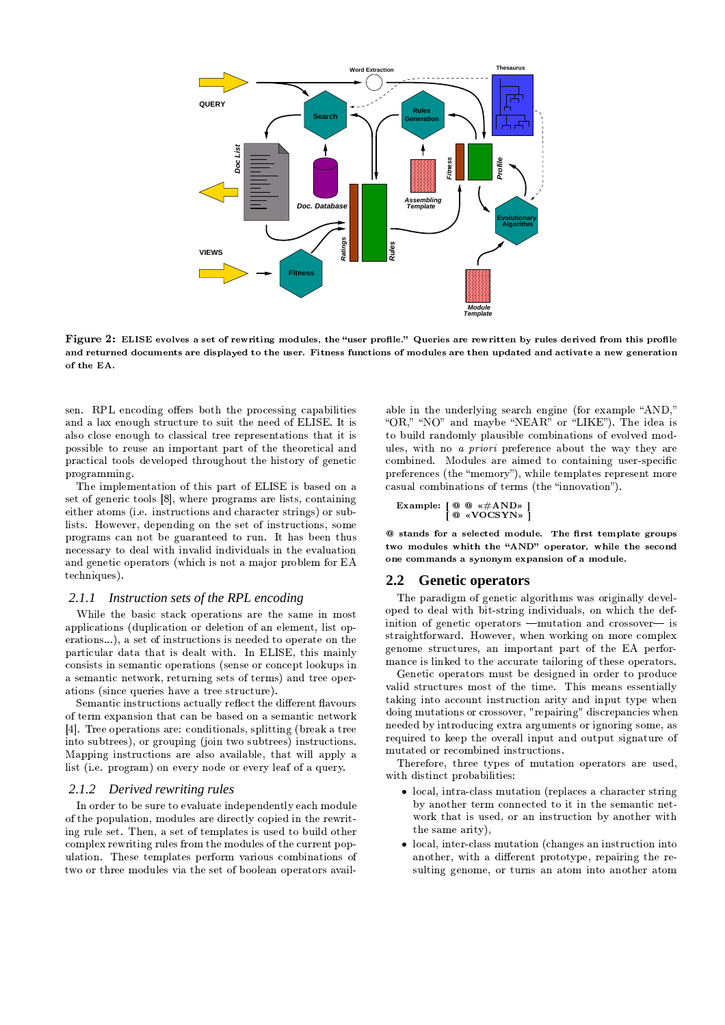

Figure 2: ELISE evolves a set of rewriting modules, the "user profile." Queries are rewritten by rules derived from this profile and returned documents are displayed to the user. Fitness functions of modules are then updated and activate a new generation of the EA.

sen. RPL encoding offers both the processing capabilities and a lax enough structure to suit the need of ELISE. It is also close enough to classical tree representations that it is possible to reuse an important part of the theoretical and practical tools developed throughout the history of genetic programming.

The implementation of this part of ELISE is based on a set of generic tools [8], where programs are lists, containing either atoms (i.e. instructions and character strings) or sublists. However, depending on the set of instructions, some programs can not be guaranteed to run. It has been thus necessary to deal with invalid individuals in the evaluation and genetic operators (which is not a major problem for EA techniques).

# 2.1.1 Instruction sets of the RPL encoding

While the basic stack operations are the same in most applications (duplication or deletion of an element, list operations...), a set of instructions is needed to operate on the particular data that is dealt with. In ELISE, this mainly consists in semantic operations (sense or concept lookups in a semantic network, returning sets of terms) and tree operations (since queries have a tree structure).

Semantic instructions actually reflect the different flavours of term expansion that can be based on a semantic network [4]. Tree operations are: conditionals, splitting (break a tree into subtrees), or grouping (join two subtrees) instructions. Mapping instructions are also available, that will apply a list (i.e. program) on every node or every leaf of a query.

# 2.1.2 Derived rewriting rules

In order to be sure to evaluate independently each module of the population, modules are directly copied in the rewriting rule set. Then, a set of templates is used to build other complex rewriting rules from the modules of the current population. These templates perform various combinations of two or three modules via the set of boolean operators available in the underlying search engine (for example "AND." "OR," "NO" and maybe "NEAR" or "LIKE"). The idea is to build randomly plausible combinations of evolved modules, with no *a priori* preference about the way they are combined. Modules are aimed to containing user-specific preferences (the "memory"), while templates represent more casual combinations of terms (the "innovation").

Example: 
$$
\begin{bmatrix} @ @ \ll \#AND* \\ @ \ll VOCSYN* \end{bmatrix}
$$

@ stands for a selected module. The first template groups two modules whith the "AND" operator, while the second one commands a synonym expansion of a module.

#### $2.2\phantom{0}$ **Genetic operators**

The paradigm of genetic algorithms was originally developed to deal with bit-string individuals, on which the definition of genetic operators - mutation and crossover- is straightforward. However, when working on more complex genome structures, an important part of the EA performance is linked to the accurate tailoring of these operators.

Genetic operators must be designed in order to produce valid structures most of the time. This means essentially taking into account instruction arity and input type when doing mutations or crossover, "repairing" discrepancies when needed by introducing extra arguments or ignoring some, as required to keep the overall input and output signature of mutated or recombined instructions.

Therefore, three types of mutation operators are used, with distinct probabilities:

- local, intra-class mutation (replaces a character string by another term connected to it in the semantic network that is used, or an instruction by another with the same arity),
- local, inter-class mutation (changes an instruction into another, with a different prototype, repairing the resulting genome, or turns an atom into another atom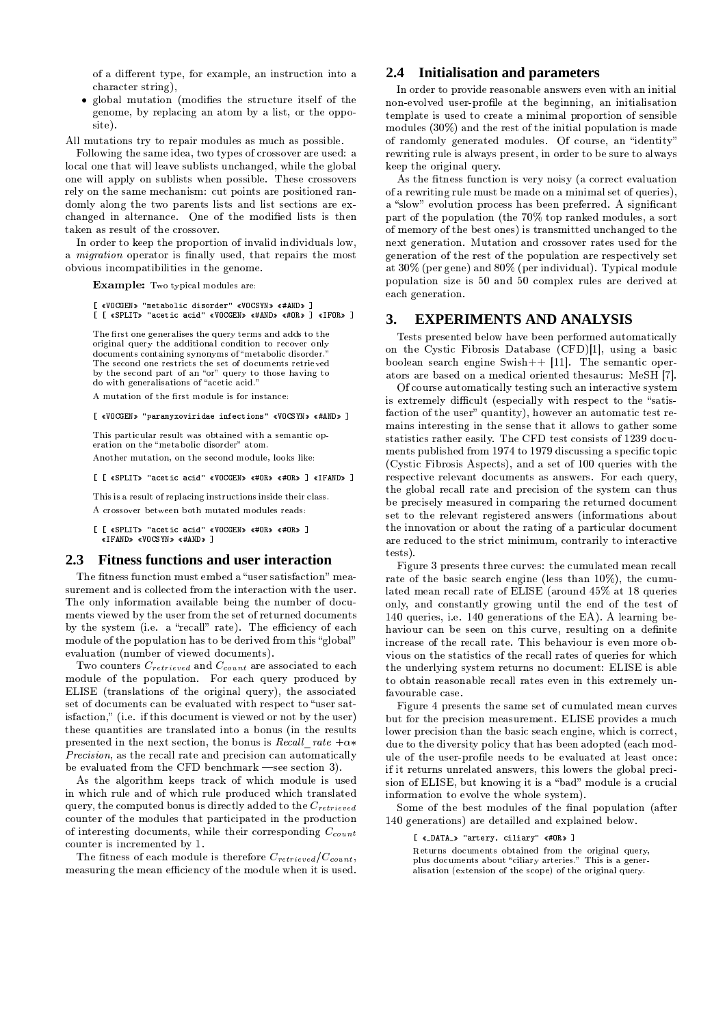of a different type, for example, an instruction into a character string),

• global mutation (modifies the structure itself of the genome, by replacing an atom by a list, or the opposite).

All mutations try to repair modules as much as possible.

Following the same idea, two types of crossover are used: a local one that will leave sublists unchanged, while the global one will apply on sublists when possible. These crossovers rely on the same mechanism: cut points are positioned randomly along the two parents lists and list sections are exchanged in alternance. One of the modified lists is then taken as result of the crossover.

In order to keep the proportion of invalid individuals low, a *migration* operator is finally used, that repairs the most obvious incompatibilities in the genome.

Example: Two typical modules are:

### [ «VOCGEN» "metabolic disorder" «VOCSYN» «#AND» ] [ [ «SPLIT» "acetic acid" «VOCGEN» «#AND» «#OR» ] «IFOR» ]

The first one generalises the query terms and adds to the original query the additional condition to recover only documents containing synonyms of "metabolic disorder." The second one restricts the set of documents retrieved by the second part of an "or" query to those having to do with generalisations of "acetic acid."

A mutation of the first module is for instance:

### [ «VOCGEN» "paramyxoviridae infections" «VOCSYN» «#AND» ]

This particular result was obtained with a semantic operation on the "metabolic disorder" atom.

Another mutation, on the second module, looks like:

[ [ «SPLIT» "acetic acid" «VOCGEN» «#OR» «#OR» ] «IFAND» ]

This is a result of replacing instructions inside their class. A crossover between both mutated modules reads:

[ [ «SPLIT» "acetic acid" «VOCGEN» «#OR» «#OR» ] «IFAND» «VOCSYN» «#AND» ]

#### $2.3$ **Fitness functions and user interaction**

The fitness function must embed a "user satisfaction" measurement and is collected from the interaction with the user. The only information available being the number of documents viewed by the user from the set of returned documents by the system (i.e. a "recall" rate). The efficiency of each module of the population has to be derived from this "global" evaluation (number of viewed documents).

Two counters  $C_{retrieved}$  and  $C_{count}$  are associated to each module of the population. For each query produced by ELISE (translations of the original query), the associated set of documents can be evaluated with respect to "user satisfaction," (i.e. if this document is viewed or not by the user) these quantities are translated into a bonus (in the results presented in the next section, the bonus is Recall rate  $+\alpha^*$ *Precision*, as the recall rate and precision can automatically be evaluated from the CFD benchmark –see section 3).

As the algorithm keeps track of which module is used in which rule and of which rule produced which translated query, the computed bonus is directly added to the  $C_{retrieved}$ counter of the modules that participated in the production of interesting documents, while their corresponding  $C_{count}$ counter is incremented by 1.

The fitness of each module is therefore  $C_{retrieved}/C_{count}$ , measuring the mean efficiency of the module when it is used.

# 2.4 Initialisation and parameters

In order to provide reasonable answers even with an initial non-evolved user-profile at the beginning, an initialisation template is used to create a minimal proportion of sensible modules  $(30\%)$  and the rest of the initial population is made of randomly generated modules. Of course, an "identity" rewriting rule is always present, in order to be sure to always keep the original query.

As the fitness function is very noisy (a correct evaluation of a rewriting rule must be made on a minimal set of queries). a "slow" evolution process has been preferred. A significant part of the population (the 70% top ranked modules, a sort of memory of the best ones) is transmitted unchanged to the next generation. Mutation and crossover rates used for the generation of the rest of the population are respectively set at 30% (per gene) and 80% (per individual). Typical module population size is 50 and 50 complex rules are derived at each generation.

#### **EXPERIMENTS AND ANALYSIS** 3.

Tests presented below have been performed automatically on the Cystic Fibrosis Database (CFD)[1], using a basic boolean search engine Swish $++$  [11]. The semantic operators are based on a medical oriented thesaurus: MeSH [7].

Of course automatically testing such an interactive system is extremely difficult (especially with respect to the "satisfaction of the user" quantity), however an automatic test remains interesting in the sense that it allows to gather some statistics rather easily. The CFD test consists of 1239 documents published from 1974 to 1979 discussing a specific topic (Cystic Fibrosis Aspects), and a set of 100 queries with the respective relevant documents as answers. For each query, the global recall rate and precision of the system can thus be precisely measured in comparing the returned document set to the relevant registered answers (informations about the innovation or about the rating of a particular document are reduced to the strict minimum, contrarily to interactive tests).

Figure 3 presents three curves: the cumulated mean recall rate of the basic search engine (less than 10%), the cumulated mean recall rate of ELISE (around 45% at 18 queries only, and constantly growing until the end of the test of 140 queries, i.e. 140 generations of the EA). A learning behaviour can be seen on this curve, resulting on a definite increase of the recall rate. This behaviour is even more obvious on the statistics of the recall rates of queries for which the underlying system returns no document: ELISE is able to obtain reasonable recall rates even in this extremely unfavourable case.

Figure 4 presents the same set of cumulated mean curves but for the precision measurement. ELISE provides a much lower precision than the basic seach engine, which is correct. due to the diversity policy that has been adopted (each module of the user-profile needs to be evaluated at least once: if it returns unrelated answers, this lowers the global precision of ELISE, but knowing it is a "bad" module is a crucial information to evolve the whole system).

Some of the best modules of the final population (after 140 generations) are detailled and explained below.

[ «\_DATA\_» "artery, ciliary" «#OR» ]

Returns documents obtained from the original query, plus documents about "ciliary arteries." This is a generalisation (extension of the scope) of the original query.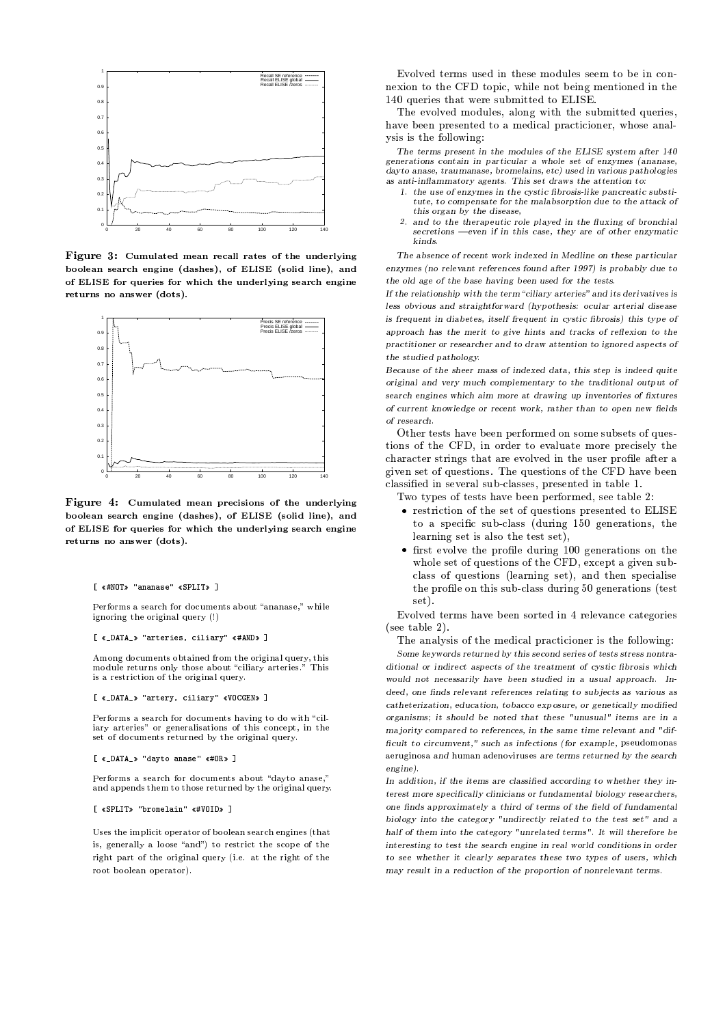

ÜÝÞ;ßCàá <sup>ã</sup> 22õOöyõOèçê<åìöåçëéåæ4çè è?éçê<åïðò2êó\$å¬õOë\$ìOåéèOîë\$ù returns no answer (dots).



Figure 4: Cumulated mean precisions of the underlying )ð!ðRèåçëï<åç/éæó>å ë\$ùRîë\$å÷FìOç/ïó\$åïú<ýNðò7  ÷Fï<ðRè îìè îë\$åú<ýçë\$ì returns no answer (dots).

### [ «#NOT» "ananase" «SPLIT»

### [ «\_DATA\_» "arteries, ciliary" «#AND»

Among documents obtained from the original query, this

### [ « DATA » "artery, ciliary" «VOCGEN»

### [ «\_DATA\_» "dayto anase" «#OR»

Performs a search for documents about "davto anase."

## [ «SPLIT» "bromelain" «#VOID» ]

Uses the implicit operator of boolean search engines (that

RfmRp iup4nqrk
k<p i§sw§u|
pk<p7qrf\$iO
m pkk<ppquf¬v&p7swtfwO o in pywwalion an official control of the sound of the sound of the sound of the sound of the sound of the sound of the sound of the sound of the sound of the sound of the sound of the sound of the sound of the sound of t ¤ÐR°r!
p4ns pkNu|)huNgp4npk<
v
qrsu<up irufr?C<ON

person parameters in the contract of the contract of the contract of the contract of the contract of the contract of the contract of the contract of the contract of the contract of the contract of the contract of the contr la conputation in the contract of the contract of the contract of the contract of the contract of the contract of the contract of the contract of the contract of the contract of the contract of the contract of the contract jOk<s ks kNu|
pxfm mf gsw
oO±

The terms present in the modules of the ELISE system after 140  $\,$  ${generations\ contain\ in\ particular\ a\ whole\ set\ of\ enzymes\ (ananase,$  $\mathcal{A}$  and  $\mathcal{A}$  and  $\mathcal{A}$  and  $\mathcal{A}$  are  $\mathcal{A}$  and  $\mathcal{A}$  and  $\mathcal{A}$  and  $\mathcal{A}$  and  $\mathcal{A}$  and  $\mathcal{A}$  and  $\mathcal{A}$  and  $\mathcal{A}$  and  $\mathcal{A}$  and  $\mathcal{A}$  and  $\mathcal{A}$  and  $\mathcal{A}$  and  $\mathcal{A}$  and

- $\mathcal{L} = \mathcal{L} \mathcal{L} = \mathcal{L} \mathcal{L}$  , and the state of the state of the state of the state of the state of the state of the state of the state of the state of the state of the state of the state of the state of the state o  $\sim$  . The state of the state of the state of the state of the state of the state of the state of the state of the state of the state of the state of the state of the state of the state of the state of the state of the st  $\overline{a}$  . The  $\overline{a}$  state  $\overline{a}$
- a uu aanaan ah ugu dadka dha  $\sim$  2.46  $\,$   $\sim$  2.46  $\,$   $\sim$  2.46  $\,$   $\sim$  3.46  $\,$   $\sim$  3.46  $\,$   $\sim$  3.46  $\,$   $\sim$  3.46  $\,$   $\sim$  3.46  $\,$   $\sim$  3.46  $\,$   $\sim$  3.46  $\,$   $\sim$  3.46  $\,$   $\sim$  3.46  $\,$   $\sim$  3.46  $\,$   $\sim$  3.46  $\,$   $\sim$  3.46 kinds.

 $\mathcal{A}$  and  $\mathcal{A}$  are the state of the state of the state of the state of the state of the state of the state of the state of the state of the state of the state of the state of the state of the state of the state of  $\mathbb{R}^n$  and  $\mathbb{R}^n$  and  $\mathbb{R}^n$  are  $\mathbb{R}^n$  . The  $\mathbb{R}^n$ enzymes (no relevant references found after 1997) is probably due to

 $\bullet$  . The state of the state of the state of the state of the state of the state of the state of the state of the state of the state of the state of the state of the state of the state of the state of the state of the st 1 1 Washington to the first the set of the set of the set of the set of the set of the set of the set of the set of the set of the set of the set of the set of the set of the set of the set of the set of the set of the set  $\pm$  and  $\pm$  1. Here  $\pm$  1. GeV and  $\pm$  1. GeV and  $\pm$  1. Here  $\pm$  1. Here  $\pm$  1. Here  $\pm$  1. Here  $\pm$  1. Here  $\pm$  1. Here  $\pm$  1. Here  $\pm$  1. Here  $\pm$  1. Here  $\pm$  1. Here  $\pm$  1. Here  $\pm$  1. Here  $\pm$  1. Her  $\mathbf{1}$  and  $\mathbf{1}$  and  $\mathbf{1}$  and  $\mathbf{1}$  and  $\mathbf{1}$  and  $\mathbf{1}$  and  $\mathbf{1}$  and  $\mathbf{1}$  and  $\mathbf{1}$  and  $\mathbf{1}$  and  $\mathbf{1}$  and  $\mathbf{1}$  and  $\mathbf{1}$  and  $\mathbf{1}$  and  $\mathbf{1}$  and  $\mathbf{1}$  and  $\mathbf{1}$  and  $\mathcal{A}$  and  $\mathcal{A}$  are the set of the set of the set of the set of the set of the set of the set of the set of the set of the set of the set of the set of the set of the set of the set of the set of the set of the set L3;! =(?4 %" :0.O

 $\blacksquare$  and the state of the state of the state of the state of the state of the state of the state of the state of the state of the state of the state of the state of the state of the state of the state of the state of th  $\mathcal{A}$  , and  $\mathcal{A}$  is the set of the set of the set of the set of the set of the set of the set of the set of the set of the set of the set of the set of the set of the set of the set of the set of the set of the set  $\mathbf{A}$  and  $\mathbf{A}$  are  $\mathbf{A}$  and  $\mathbf{A}$  and  $\mathbf{A}$  are  $\mathbf{A}$  and  $\mathbf{A}$  and  $\mathbf{A}$  are  $\mathbf{A}$  and  $\mathbf{A}$  are  $\mathbf{A}$  and  $\mathbf{A}$  are  $\mathbf{A}$  and  $\mathbf{A}$  are  $\mathbf{A}$  and  $\mathbf{A}$  are  $\mathbf{A}$  and  $\ell$  and  $\ell$  and  $\ell$  and  $\ell$  and  $\ell$  and  $\ell$  and  $\ell$  and  $\ell$  and  $\ell$  and  $\ell$  and  $\ell$  $\sim$  3466  $\sim$  3466  $\sim$ 

u|
p4nupkuk?|)h RpNv&ppwr~&p4n<xf/nqrp i7fwrk<fqrpNk<
v
k<p4uk?f/xC!
pkt a formal option in the control of the control of the control of the control of the control of the control of the control of the control of the control of the control of the control of the control of the control of the c  $\sim$  100  $\sim$  100  $\sim$  100  $\sim$  0.000  $\sim$  0.000  $\sim$  0.000  $\sim$  0.000  $\sim$  0.000  $\sim$  0.000  $\sim$  0.000  $\sim$  0.000  $\sim$  0.000  $\sim$  0.000  $\sim$  0.000  $\sim$  0.000  $\sim$  0.000  $\sim$  0.000  $\sim$  0.000  $\sim$  0.000  $\sim$  0.000  $\sim$  0. the cost of the cost of the cost of the cost of the cost of the cost of the cost of the cost of the cost of the cost of the cost of the cost of the cost of the cost of the cost of the cost of the cost of the cost of the co  $\mathbf{r}$  is the property of the parameter  $\mathbf{r}$ 

Cgf7ujO~&pkNf/x+upkuk|)h Rpv&ppwz~&p4n<xf/nqrp i;l
k<ppuh/v
m pª!±

- $\bullet$  up that is an interesting an interesting the DIIC. ufèhka katharan kara kata katharan kara katharan kara katharan kara katharan katharan kara katharan katharan k s kontra u buda kontra u buda kontra u buda kontra u buda kontra u buda kontra u buda kontra u buda kontra u b
- $\epsilon$  fust evolve the profile during 100 generations on the  $f: \mathcal{A} \longrightarrow \mathcal{A}$  for  $f: \mathcal{A} \longrightarrow \mathcal{A}$  $\mathbf{r}$  and  $\mathbf{r}$  is the point of the point of the point of the point of the point of the point of the point of the point of the point of the point of the point of the point of the point of the point of the point of t u|
p~Onf/)m pfwu|
s k+k<
vOatm h/k<k?iOOnsw
o®/°opw
p4nhusfw
k©upku set).

RfmRp i¬up4nqrk|)h Rpyv&ppwk<f/n<up iswÐ}npm ph/w
tpt hupof/ns pk Fk<ppuh/v
m pª

pp. th/midth: th/mathematic transitions of the contract of the contract of the contract of the contract of the contract of the contract of the contract of the contract of the contract of the contract of the contract of the

 $\blacksquare$  . The state of the state of the state of the state of the state of the state of the state of the state of the state of the state of the state of the state of the state of the state of the state of the state of the  $\mathcal{A}$  , and a set of the set of the set of the set of the set of the set of the set of the set of the set of the set of the set of the set of the set of the set of the set of the set of the set of the set of the set of  $\mathcal{A}$  , and the state of the state of the state of the state of the state of the state of the state of the state of the state of the state of the state of the state of the state of the state of the state of the state o deed, one finds relevant references relating to subjects as various as  $\mathcal{L} = \mathcal{L} = \mathcal{L} = \mathcal{L} = \mathcal{L} = \mathcal{L} = \mathcal{L} = \mathcal{L} = \mathcal{L} = \mathcal{L} = \mathcal{L} = \mathcal{L} = \mathcal{L} = \mathcal{L} = \mathcal{L} = \mathcal{L} = \mathcal{L} = \mathcal{L} = \mathcal{L} = \mathcal{L} = \mathcal{L} = \mathcal{L} = \mathcal{L} = \mathcal{L} = \mathcal{L} = \mathcal{L} = \mathcal{L} = \mathcal{L} = \mathcal{L} = \mathcal{L} = \mathcal{L} = \mathcal$  $\mu$  , and a set of the set of the set of the set of the set of the set of the set of the set of the set of the set of the set of the set of the set of the set of the set of the set of the set of the set of the set of the  $\mathcal{A} = \mathcal{A}$  . The set of the set of the set of the set of the set of the set of the set of the set of the set of the set of the set of the set of the set of the set of the set of the set of the set of the set of the s  $\alpha$  and  $\alpha$  is the state of the state of the state of the state of the state of the state of the state of the state of the state of the state of the state of the state of the state of the state of the state of the state the state of the state of the state of the state of the state of the state of the state of the state of the state of the state of the state of the state of the state of the state of the state of the state of the state of t  $en$ gine)

 $\bm{I}$  if  $\bm{I}$  is a state of the function of the function of the function of  $\bm{I}$  $\alpha$  is the  $\alpha$  different contraction of the state of the state  $\alpha$ e dia 2008 - 2014 - 2024 - 2024 - 2024 - 2024 - 2024 - 2024 - 2024 - 2024 - 2024 - 2024 - 2024 - 2024 - 2024 - 20  $\mathbf{1}$  , and a set of the set of the set of the set of the set of the set of the set of the set of the set of the set of the set of the set of the set of the set of the set of the set of the set of the set of the set of 46"\$W%\$A n &<34 :%10]l;!#2"4 =.l;OW+;I@A " " \$%JG2  $\mathbf{1}$  : 3466  $\mathbf{3}$  : 3466  $\mathbf{3}$  : 3466  $\mathbf{3}$  : 3466  $\mathbf{3}$  : 3466  $\mathbf{3}$  : 3466  $\mathbf{3}$  : 3466  $\mathbf{3}$  : 3466  $\mathbf{3}$  : 3466  $\mathbf{3}$  : 3466  $\mathbf{3}$  : 3466  $\mathbf{3}$  : 3466  $\mathbf{3}$  : 3466  $\mathbf{3}$  : 34 T=E@A % B B<" 346"0?46;4 - d1@A0 W%\$!#3F&@A 2 <  $\mathcal{A} = \mathcal{A} \cup \mathcal{A}$  . The set of the set of the set of the set of the set of the set of the set of the set of the set of the set of the set of the set of the set of the set of the set of the set of the set of the set